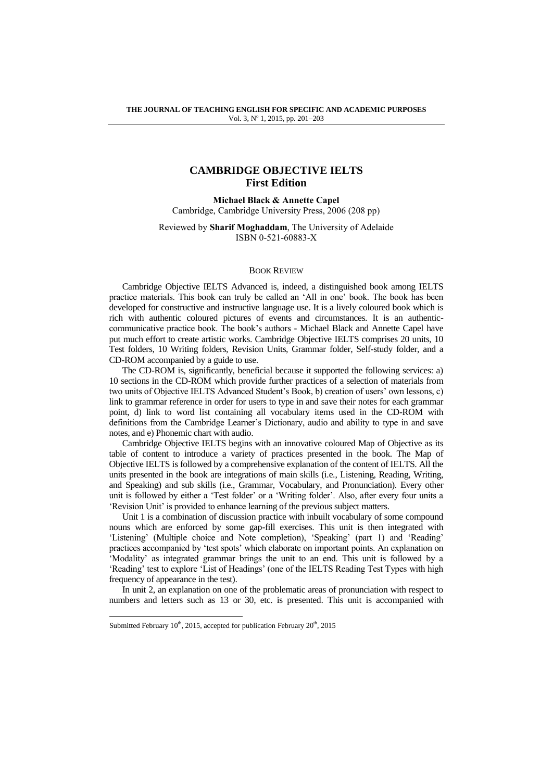## **CAMBRIDGE OBJECTIVE IELTS First Edition**

**Michael Black & Annette Capel** Cambridge, Cambridge University Press, 2006 (208 pp)

Reviewed by **Sharif Moghaddam**, The University of Adelaide ISBN 0-521-60883-X

## BOOK REVIEW

Cambridge Objective IELTS Advanced is, indeed, a distinguished book among IELTS practice materials. This book can truly be called an 'All in one' book. The book has been developed for constructive and instructive language use. It is a lively coloured book which is rich with authentic coloured pictures of events and circumstances. It is an authenticcommunicative practice book. The book's authors - Michael Black and Annette Capel have put much effort to create artistic works. Cambridge Objective IELTS comprises 20 units, 10 Test folders, 10 Writing folders, Revision Units, Grammar folder, Self-study folder, and a CD-ROM accompanied by a guide to use.

The CD-ROM is, significantly, beneficial because it supported the following services: a) 10 sections in the CD-ROM which provide further practices of a selection of materials from two units of Objective IELTS Advanced Student's Book, b) creation of users' own lessons, c) link to grammar reference in order for users to type in and save their notes for each grammar point, d) link to word list containing all vocabulary items used in the CD-ROM with definitions from the Cambridge Learner's Dictionary, audio and ability to type in and save notes, and e) Phonemic chart with audio.

Cambridge Objective IELTS begins with an innovative coloured Map of Objective as its table of content to introduce a variety of practices presented in the book. The Map of Objective IELTS is followed by a comprehensive explanation of the content of IELTS. All the units presented in the book are integrations of main skills (i.e., Listening, Reading, Writing, and Speaking) and sub skills (i.e., Grammar, Vocabulary, and Pronunciation). Every other unit is followed by either a 'Test folder' or a 'Writing folder'. Also, after every four units a 'Revision Unit' is provided to enhance learning of the previous subject matters.

Unit 1 is a combination of discussion practice with inbuilt vocabulary of some compound nouns which are enforced by some gap-fill exercises. This unit is then integrated with 'Listening' (Multiple choice and Note completion), 'Speaking' (part 1) and 'Reading' practices accompanied by 'test spots' which elaborate on important points. An explanation on 'Modality' as integrated grammar brings the unit to an end. This unit is followed by a 'Reading' test to explore 'List of Headings' (one of the IELTS Reading Test Types with high frequency of appearance in the test).

In unit 2, an explanation on one of the problematic areas of pronunciation with respect to numbers and letters such as 13 or 30, etc. is presented. This unit is accompanied with

l

Submitted February  $10<sup>th</sup>$ , 2015, accepted for publication February  $20<sup>th</sup>$ , 2015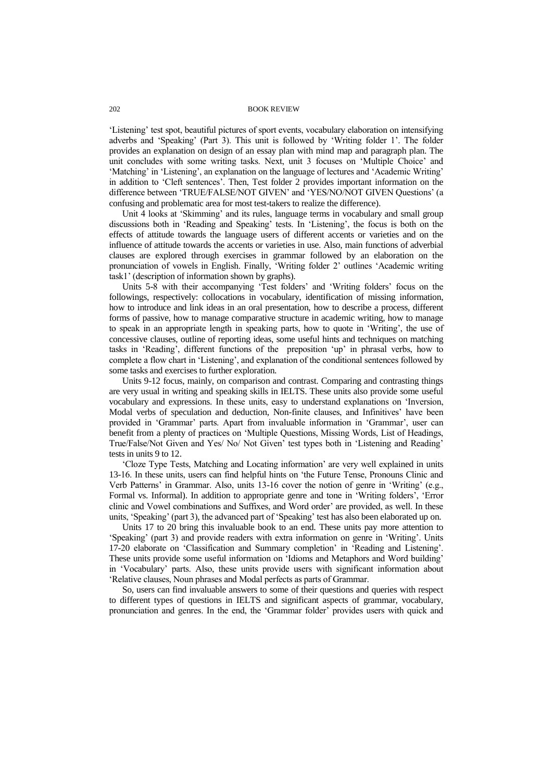## 202 BOOK REVIEW

'Listening' test spot, beautiful pictures of sport events, vocabulary elaboration on intensifying adverbs and 'Speaking' (Part 3). This unit is followed by 'Writing folder 1'. The folder provides an explanation on design of an essay plan with mind map and paragraph plan. The unit concludes with some writing tasks. Next, unit 3 focuses on 'Multiple Choice' and 'Matching' in 'Listening', an explanation on the language of lectures and 'Academic Writing' in addition to 'Cleft sentences'. Then, Test folder 2 provides important information on the difference between 'TRUE/FALSE/NOT GIVEN' and 'YES/NO/NOT GIVEN Questions' (a confusing and problematic area for most test-takers to realize the difference).

Unit 4 looks at 'Skimming' and its rules, language terms in vocabulary and small group discussions both in 'Reading and Speaking' tests. In 'Listening', the focus is both on the effects of attitude towards the language users of different accents or varieties and on the influence of attitude towards the accents or varieties in use. Also, main functions of adverbial clauses are explored through exercises in grammar followed by an elaboration on the pronunciation of vowels in English. Finally, 'Writing folder 2' outlines 'Academic writing task1' (description of information shown by graphs).

Units 5-8 with their accompanying 'Test folders' and 'Writing folders' focus on the followings, respectively: collocations in vocabulary, identification of missing information, how to introduce and link ideas in an oral presentation, how to describe a process, different forms of passive, how to manage comparative structure in academic writing, how to manage to speak in an appropriate length in speaking parts, how to quote in 'Writing', the use of concessive clauses, outline of reporting ideas, some useful hints and techniques on matching tasks in 'Reading', different functions of the preposition 'up' in phrasal verbs, how to complete a flow chart in 'Listening', and explanation of the conditional sentences followed by some tasks and exercises to further exploration.

Units 9-12 focus, mainly, on comparison and contrast. Comparing and contrasting things are very usual in writing and speaking skills in IELTS. These units also provide some useful vocabulary and expressions. In these units, easy to understand explanations on 'Inversion, Modal verbs of speculation and deduction, Non-finite clauses, and Infinitives' have been provided in 'Grammar' parts. Apart from invaluable information in 'Grammar', user can benefit from a plenty of practices on 'Multiple Questions, Missing Words, List of Headings, True/False/Not Given and Yes/ No/ Not Given' test types both in 'Listening and Reading' tests in units 9 to 12.

'Cloze Type Tests, Matching and Locating information' are very well explained in units 13-16. In these units, users can find helpful hints on 'the Future Tense, Pronouns Clinic and Verb Patterns' in Grammar. Also, units 13-16 cover the notion of genre in 'Writing' (e.g., Formal vs. Informal). In addition to appropriate genre and tone in 'Writing folders', 'Error clinic and Vowel combinations and Suffixes, and Word order' are provided, as well. In these units, 'Speaking' (part 3), the advanced part of 'Speaking' test has also been elaborated up on.

Units 17 to 20 bring this invaluable book to an end. These units pay more attention to 'Speaking' (part 3) and provide readers with extra information on genre in 'Writing'. Units 17-20 elaborate on 'Classification and Summary completion' in 'Reading and Listening'. These units provide some useful information on 'Idioms and Metaphors and Word building' in 'Vocabulary' parts. Also, these units provide users with significant information about 'Relative clauses, Noun phrases and Modal perfects as parts of Grammar.

So, users can find invaluable answers to some of their questions and queries with respect to different types of questions in IELTS and significant aspects of grammar, vocabulary, pronunciation and genres. In the end, the 'Grammar folder' provides users with quick and